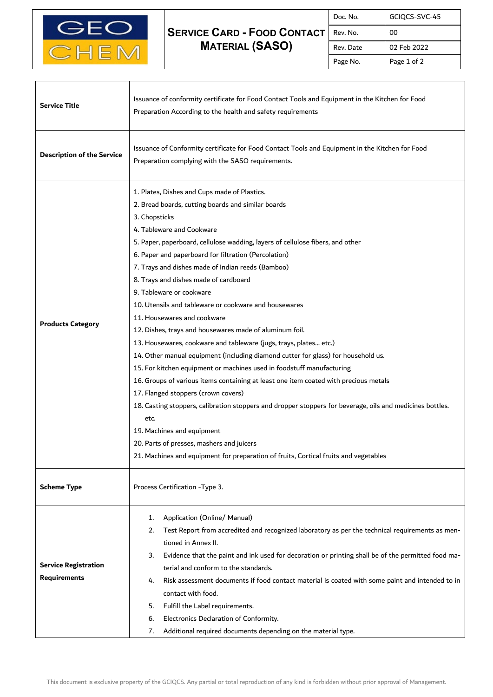

## **SERVICE CARD - FOOD CONTACT MATERIAL (SASO)**

| Doc. No.  | GCIQCS-SVC-45 |
|-----------|---------------|
| Rev. No.  | ΩO            |
| Rev. Date | 02 Feb 2022   |
| Page No.  | Page 1 of 2   |

٦

| <b>Service Title</b>                               | Issuance of conformity certificate for Food Contact Tools and Equipment in the Kitchen for Food<br>Preparation According to the health and safety requirements                                                                                                                                                                                                                                                                                                                                                                                                                                                                                                                                                                                                                                                                                                                                                                                                                                                                                                                                                                                                                                                                    |
|----------------------------------------------------|-----------------------------------------------------------------------------------------------------------------------------------------------------------------------------------------------------------------------------------------------------------------------------------------------------------------------------------------------------------------------------------------------------------------------------------------------------------------------------------------------------------------------------------------------------------------------------------------------------------------------------------------------------------------------------------------------------------------------------------------------------------------------------------------------------------------------------------------------------------------------------------------------------------------------------------------------------------------------------------------------------------------------------------------------------------------------------------------------------------------------------------------------------------------------------------------------------------------------------------|
| <b>Description of the Service</b>                  | Issuance of Conformity certificate for Food Contact Tools and Equipment in the Kitchen for Food<br>Preparation complying with the SASO requirements.                                                                                                                                                                                                                                                                                                                                                                                                                                                                                                                                                                                                                                                                                                                                                                                                                                                                                                                                                                                                                                                                              |
| <b>Products Category</b>                           | 1. Plates, Dishes and Cups made of Plastics.<br>2. Bread boards, cutting boards and similar boards<br>3. Chopsticks<br>4. Tableware and Cookware<br>5. Paper, paperboard, cellulose wadding, layers of cellulose fibers, and other<br>6. Paper and paperboard for filtration (Percolation)<br>7. Trays and dishes made of Indian reeds (Bamboo)<br>8. Trays and dishes made of cardboard<br>9. Tableware or cookware<br>10. Utensils and tableware or cookware and housewares<br>11. Housewares and cookware<br>12. Dishes, trays and housewares made of aluminum foil.<br>13. Housewares, cookware and tableware (jugs, trays, plates etc.)<br>14. Other manual equipment (including diamond cutter for glass) for household us.<br>15. For kitchen equipment or machines used in foodstuff manufacturing<br>16. Groups of various items containing at least one item coated with precious metals<br>17. Flanged stoppers (crown covers)<br>18. Casting stoppers, calibration stoppers and dropper stoppers for beverage, oils and medicines bottles.<br>etc.<br>19. Machines and equipment<br>20. Parts of presses, mashers and juicers<br>21. Machines and equipment for preparation of fruits, Cortical fruits and vegetables |
| <b>Scheme Type</b>                                 | Process Certification - Type 3.                                                                                                                                                                                                                                                                                                                                                                                                                                                                                                                                                                                                                                                                                                                                                                                                                                                                                                                                                                                                                                                                                                                                                                                                   |
| <b>Service Registration</b><br><b>Requirements</b> | Application (Online/ Manual)<br>1.<br>Test Report from accredited and recognized laboratory as per the technical requirements as men-<br>2.<br>tioned in Annex II.<br>Evidence that the paint and ink used for decoration or printing shall be of the permitted food ma-<br>3.<br>terial and conform to the standards.<br>Risk assessment documents if food contact material is coated with some paint and intended to in<br>4.<br>contact with food.<br>Fulfill the Label requirements.<br>5.<br>Electronics Declaration of Conformity.<br>6.<br>7.<br>Additional required documents depending on the material type.                                                                                                                                                                                                                                                                                                                                                                                                                                                                                                                                                                                                             |